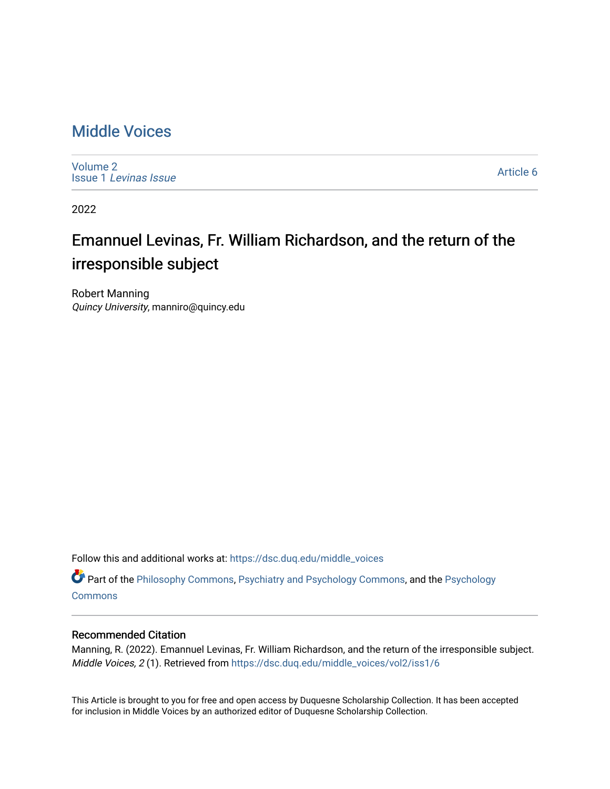## [Middle Voices](https://dsc.duq.edu/middle_voices)

[Volume 2](https://dsc.duq.edu/middle_voices/vol2) Issue 1 [Levinas Issue](https://dsc.duq.edu/middle_voices/vol2/iss1)

[Article 6](https://dsc.duq.edu/middle_voices/vol2/iss1/6) 

2022

## Emannuel Levinas, Fr. William Richardson, and the return of the irresponsible subject

Robert Manning Quincy University, manniro@quincy.edu

Follow this and additional works at: [https://dsc.duq.edu/middle\\_voices](https://dsc.duq.edu/middle_voices?utm_source=dsc.duq.edu%2Fmiddle_voices%2Fvol2%2Fiss1%2F6&utm_medium=PDF&utm_campaign=PDFCoverPages)

Part of the [Philosophy Commons,](http://network.bepress.com/hgg/discipline/525?utm_source=dsc.duq.edu%2Fmiddle_voices%2Fvol2%2Fiss1%2F6&utm_medium=PDF&utm_campaign=PDFCoverPages) [Psychiatry and Psychology Commons,](http://network.bepress.com/hgg/discipline/908?utm_source=dsc.duq.edu%2Fmiddle_voices%2Fvol2%2Fiss1%2F6&utm_medium=PDF&utm_campaign=PDFCoverPages) and the [Psychology](http://network.bepress.com/hgg/discipline/404?utm_source=dsc.duq.edu%2Fmiddle_voices%2Fvol2%2Fiss1%2F6&utm_medium=PDF&utm_campaign=PDFCoverPages)  **[Commons](http://network.bepress.com/hgg/discipline/404?utm_source=dsc.duq.edu%2Fmiddle_voices%2Fvol2%2Fiss1%2F6&utm_medium=PDF&utm_campaign=PDFCoverPages)** 

## Recommended Citation

Manning, R. (2022). Emannuel Levinas, Fr. William Richardson, and the return of the irresponsible subject. Middle Voices, 2 (1). Retrieved from [https://dsc.duq.edu/middle\\_voices/vol2/iss1/6](https://dsc.duq.edu/middle_voices/vol2/iss1/6?utm_source=dsc.duq.edu%2Fmiddle_voices%2Fvol2%2Fiss1%2F6&utm_medium=PDF&utm_campaign=PDFCoverPages) 

This Article is brought to you for free and open access by Duquesne Scholarship Collection. It has been accepted for inclusion in Middle Voices by an authorized editor of Duquesne Scholarship Collection.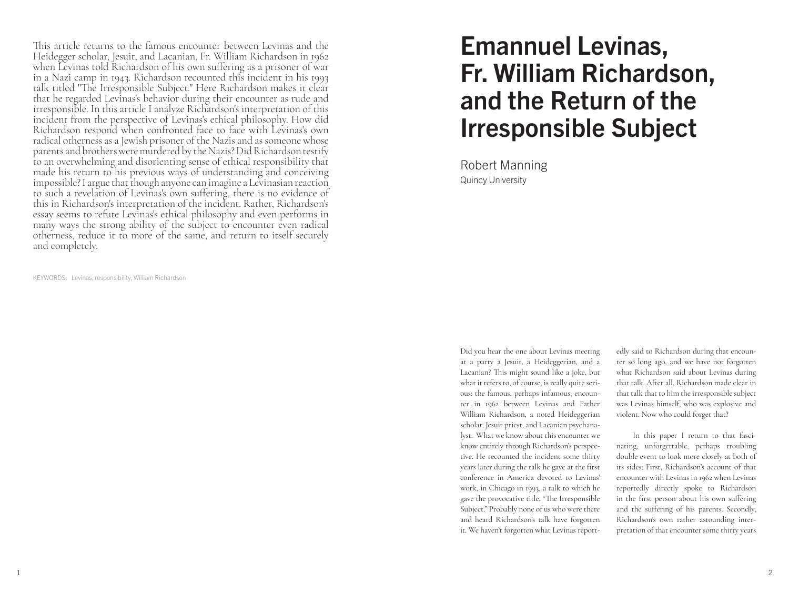This article returns to the famous encounter between Levinas and the Heidegger scholar, Jesuit, and Lacanian, Fr. William Richardson in 1962 when Levinas told Richardson of his own suffering as a prisoner of war in a Nazi camp in 1943. Richardson recounted this incident in his 1993 talk titled "The Irresponsible Subject." Here Richardson makes it clear that he regarded Levinas's behavior during their encounter as rude and irresponsible. In this article I analyze Richardson's interpretation of this incident from the perspective of Levinas's ethical philosophy. How did Richardson respond when confronted face to face with Levinas's own radical otherness as a Jewish prisoner of the Nazis and as someone whose parents and brothers were murdered by the Nazis? Did Richardson testify to an overwhelming and disorienting sense of ethical responsibility that made his return to his previous ways of understanding and conceiving impossible? I argue that though anyone can imagine a Levinasian reaction to such a revelation of Levinas's own suffering, there is no evidence of this in Richardson's interpretation of the incident. Rather, Richardson's essay seems to refute Levinas's ethical philosophy and even performs in many ways the strong ability of the subject to encounter even radical otherness, reduce it to more of the same, and return to itself securely and completely.

KEYWORDS: Levinas, responsibility, William Richardson

## Emannuel Levinas, Fr. William Richardson, and the Return of the Irresponsible Subject

Robert Manning Quincy University

Did you hear the one about Levinas meeting at a party a Jesuit, a Heideggerian, and a Lacanian? This might sound like a joke, but what it refers to, of course, is really quite serious: the famous, perhaps infamous, encounter in 1962 between Levinas and Father William Richardson, a noted Heideggerian scholar, Jesuit priest, and Lacanian psychanalyst. What we know about this encounter we know entirely through Richardson's perspective. He recounted the incident some thirty years later during the talk he gave at the first conference in America devoted to Levinas' work, in Chicago in 1993, a talk to which he gave the provocative title, "The Irresponsible Subject." Probably none of us who were there and heard Richardson's talk have forgotten it. We haven't forgotten what Levinas reportedly said to Richardson during that encounter so long ago, and we have not forgotten what Richardson said about Levinas during that talk. After all, Richardson made clear in that talk that to him the irresponsible subject was Levinas himself, who was explosive and violent. Now who could forget that?

In this paper I return to that fascinating, unforgettable, perhaps troubling double event to look more closely at both of its sides: First, Richardson's account of that encounter with Levinas in 1962 when Levinas reportedly directly spoke to Richardson in the first person about his own suffering and the suffering of his parents. Secondly, Richardson's own rather astounding interpretation of that encounter some thirty years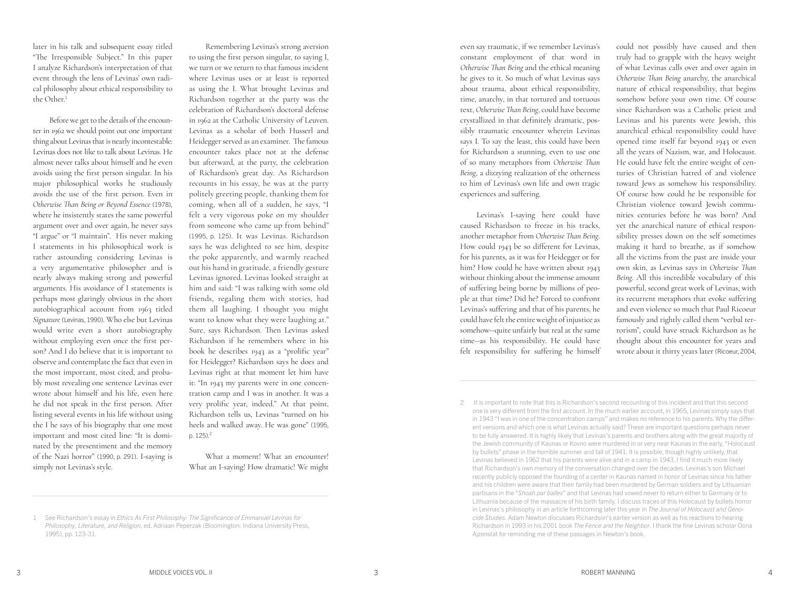later in his talk and subsequent essay titled "The Irresponsible Subject." In this paper I analyze Richardson's interpretation of that event through the lens of Levinas' own radical philosophy about ethical responsibility to the Other.<sup>1</sup>

Before we get to the details of the encounter in 1962 we should point out one important thing about Levinas that is nearly incontestable: Levinas does not like to talk about Levinas. He almost never talks about himself and he even avoids using the first person singular. In his major philosophical works he studiously avoids the use of the first person. Even in *Otherwise Than Being or Beyond Essence* (1978), where he insistently states the same powerful argument over and over again, he never says "I argue" or "I maintain". His never making I statements in his philosophical work is rather astounding considering Levinas is a very argumentative philosopher and is nearly always making strong and powerful arguments. His avoidance of I statements is perhaps most glaringly obvious in the short autobiographical account from 1963 titled *Signature* (Levinas, 1990). Who else but Levinas would write even a short autobiography without employing even once the first person? And I do believe that it is important to observe and contemplate the fact that even in the most important, most cited, and probably most revealing one sentence Levinas ever wrote about himself and his life, even here he did not speak in the first person. After listing several events in his life without using the I he says of his biography that one most important and most cited line: "It is dominated by the presentiment and the memory of the Nazi horror" (1990, p. 291). I-saying is simply not Levinas's style.

Remembering Levinas's strong aversion to using the first person singular, to saying I, we turn or we return to that famous incident where Levinas uses or at least is reported as using the I. What brought Levinas and Richardson together at the party was the celebration of Richardson's doctoral defense in 1962 at the Catholic University of Leuven. Levinas as a scholar of both Husserl and Heidegger served as an examiner. The famous encounter takes place not at the defense but afterward, at the party, the celebration of Richardson's great day. As Richardson recounts in his essay, he was at the party politely greeting people, thanking them for coming, when all of a sudden, he says, "I felt a very vigorous poke on my shoulder from someone who came up from behind" (1995, p. 125). It was Levinas. Richardson says he was delighted to see him, despite the poke apparently, and warmly reached out his hand in gratitude, a friendly gesture Levinas ignored. Levinas looked straight at him and said: "I was talking with some old friends, regaling them with stories, had them all laughing. I thought you might want to know what they were laughing at." Sure, says Richardson. Then Levinas asked Richardson if he remembers where in his book he describes 1943 as a "prolific year" for Heidegger? Richardson says he does and Levinas right at that moment let him have it: "In 1943 my parents were in one concentration camp and I was in another. It was a very prolific year, indeed." At that point, Richardson tells us, Levinas "turned on his heels and walked away. He was gone" (1995, p. 125). 2

What a moment! What an encounter! What an I-saying! How dramatic! We might

even say traumatic, if we remember Levinas's constant employment of that word in *Otherwise Than Being* and the ethical meaning he gives to it. So much of what Levinas says about trauma, about ethical responsibility, time, anarchy, in that tortured and tortuous text, *Otherwise Than Being*, could have become crystallized in that definitely dramatic, possibly traumatic encounter wherein Levinas says I. To say the least, this could have been for Richardson a stunning, even to use one of so many metaphors from *Otherwise Than Being*, a dizzying realization of the otherness to him of Levinas's own life and own tragic experiences and suffering.

Levinas's I-saying here could have caused Richardson to freeze in his tracks, another metaphor from *Otherwise Than Being*. How could 1943 be so different for Levinas, for his parents, as it was for Heidegger or for him? How could he have written about 1943 without thinking about the immense amount of suffering being borne by millions of people at that time? Did he? Forced to confront Levinas's suffering and that of his parents, he could have felt the entire weight of injustice as somehow--quite unfairly but real at the same time--as his responsibility. He could have felt responsibility for suffering he himself could not possibly have caused and then truly had to grapple with the heavy weight of what Levinas calls over and over again in *Otherwise Than Being* anarchy, the anarchical nature of ethical responsibility, that begins somehow before your own time. Of course since Richardson was a Catholic priest and Levinas and his parents were Jewish, this anarchical ethical responsibility could have opened time itself far beyond 1943 or even all the years of Nazism, war, and Holocaust. He could have felt the entire weight of centuries of Christian hatred of and violence toward Jews as somehow his responsibility. Of course how could he be responsible for Christian violence toward Jewish communities centuries before he was born? And yet the anarchical nature of ethical responsibility presses down on the self sometimes making it hard to breathe, as if somehow all the victims from the past are inside your own skin, as Levinas says in *Otherwise Than Being*. All this incredible vocabulary of this powerful, second great work of Levinas, with its recurrent metaphors that evoke suffering and even violence so much that Paul Ricoeur famously and rightly called them "verbal terrorism", could have struck Richardson as he thought about this encounter for years and wrote about it thirty years later (Ricoeur, 2004,

<sup>1</sup> See Richardson's essay in *Ethics As First Philosophy: The Significance of Emmanuel Levinas for Philosophy, Literature, and Religion*, ed. Adriaan Peperzak (Bloomington: Indiana University Press, 1995), pp. 123-31.

It is important to note that this is Richardson's second recounting of this incident and that this second one is very different from the first account. In the much earlier account, in 1965, Levinas simply says that in 1943 "I was in one of the concentration camps" and makes no reference to his parents. Why the different versions and which one is what Levinas actually said? These are important questions perhaps never to be fully answered. It is highly likely that Levinas's parents and brothers along with the great majority of the Jewish community of Kaunas or Kovno were murdered in or very near Kaunas in the early, "Holocaust by bullets" phase in the horrible summer and fall of 1941. It is possible, though highly unlikely, that Levinas believed in 1962 that his parents were alive and in a camp in 1943. I find it much more likely that Richardson's own memory of the conversation changed over the decades. Levinas's son Michael recently publicly opposed the founding of a center in Kaunas named in honor of Levinas since his father and his children were aware that their family had been murdered by German soldiers and by Lithuanian partisans in the "*Shoah par balles*" and that Levinas had vowed never to return either to Germany or to Lithuania because of the massacre of his birth family. I discuss traces of this Holocaust by bullets horror in Levinas's philosophy in an article forthcoming later this year in *The Journal of Holocaust and Genocide Studies*. Adam Newton discusses Richardson's earlier version as well as his reactions to hearing Richardson in 1993 in his 2001 book *The Fence and the Neighbor*. I thank the fine Levinas scholar Oona Ajzenstat for reminding me of these passages in Newton's book.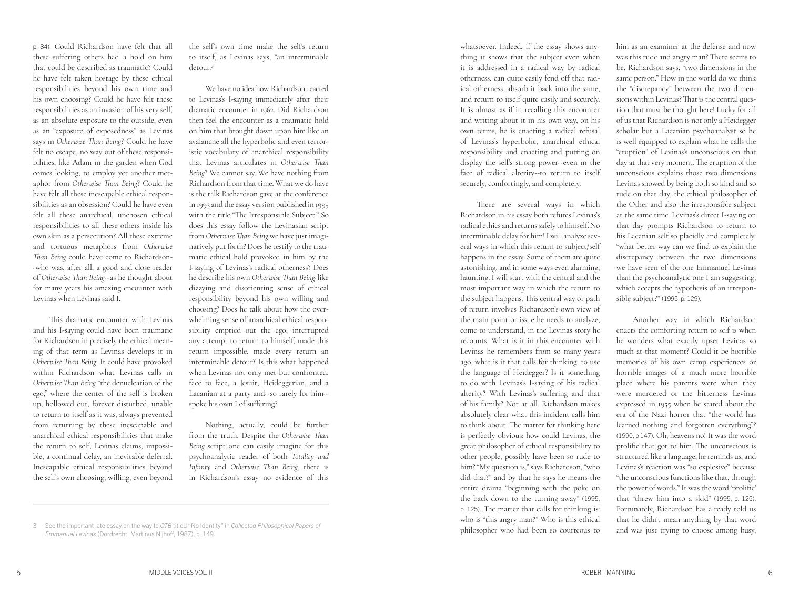p. 84). Could Richardson have felt that all these suffering others had a hold on him that could be described as traumatic? Could he have felt taken hostage by these ethical responsibilities beyond his own time and his own choosing? Could he have felt these responsibilities as an invasion of his very self, as an absolute exposure to the outside, even as an "exposure of exposedness" as Levinas says in *Otherwise Than Being*? Could he have felt no escape, no way out of these responsi bilities, like Adam in the garden when God comes looking, to employ yet another met aphor from *Otherwise Than Being*? Could he have felt all these inescapable ethical respon sibilities as an obsession? Could he have even felt all these anarchical, unchosen ethical responsibilities to all these others inside his own skin as a persecution? All these extreme and tortuous metaphors from *Otherwise Than Being* could have come to Richardson- -who was, after all, a good and close reader of *Otherwise Than Being*--as he thought about for many years his amazing encounter with Levinas when Levinas said I.

This dramatic encounter with Levinas and his I-saying could have been traumatic for Richardson in precisely the ethical mean ing of that term as Levinas develops it in *Otherwise Than Being*. It could have provoked within Richardson what Levinas calls in *Otherwise Than Being* "the denucleation of the ego," where the center of the self is broken up, hollowed out, forever disturbed, unable to return to itself as it was, always prevented from returning by these inescapable and anarchical ethical responsibilities that make the return to self, Levinas claims, impossi ble, a continual delay, an inevitable deferral. Inescapable ethical responsibilities beyond the self's own choosing, willing, even beyond

the self's own time make the self's return to itself, as Levinas says, "an interminable detour. 3

We have no idea how Richardson reacted to Levinas's I-saying immediately after their dramatic encounter in 1962. Did Richardson then feel the encounter as a traumatic hold on him that brought down upon him like an avalanche all the hyperbolic and even terror istic vocabulary of anarchical responsibility that Levinas articulates in *Otherwise Than Being*? We cannot say. We have nothing from Richardson from that time. What we do have is the talk Richardson gave at the conference in 1993 and the essay version published in 1995 with the title "The Irresponsible Subject." So does this essay follow the Levinasian script from *Otherwise Than Being* we have just imagi natively put forth? Does he testify to the trau matic ethical hold provoked in him by the I-saying of Levinas's radical otherness? Does he describe his own *Otherwise Than Being*-like dizzying and disorienting sense of ethical responsibility beyond his own willing and choosing? Does he talk about how the over whelming sense of anarchical ethical respon sibility emptied out the ego, interrupted any attempt to return to himself, made this return impossible, made every return an interminable detour? Is this what happened when Levinas not only met but confronted, face to face, a Jesuit, Heideggerian, and a Lacanian at a party and--so rarely for him- spoke his own I of suffering?

Nothing, actually, could be further from the truth. Despite the *Otherwise Than Being* script one can easily imagine for this psychoanalytic reader of both *Totality and Infinity* and *Otherwise Than Being*, there is in Richardson's essay no evidence of this

whatsoever. Indeed, if the essay shows any thing it shows that the subject even when it is addressed in a radical way by radical otherness, can quite easily fend off that rad ical otherness, absorb it back into the same, and return to itself quite easily and securely. It is almost as if in recalling this encounter and writing about it in his own way, on his own terms, he is enacting a radical refusal of Levinas's hyperbolic, anarchical ethical responsibility and enacting and putting on display the self's strong power--even in the face of radical alterity--to return to itself securely, comfortingly, and completely.

There are several ways in which Richardson in his essay both refutes Levinas's radical ethics and returns safely to himself. No interminable delay for him! I will analyze sev eral ways in which this return to subject/self happens in the essay. Some of them are quite astonishing, and in some ways even alarming, haunting. I will start with the central and the most important way in which the return to the subject happens. This central way or path of return involves Richardson's own view of the main point or issue he needs to analyze, come to understand, in the Levinas story he recounts. What is it in this encounter with Levinas he remembers from so many years ago, what is it that calls for thinking, to use the language of Heidegger? Is it something to do with Levinas's I-saying of his radical alterity? With Levinas's suffering and that of his family? Not at all. Richardson makes absolutely clear what this incident calls him to think about. The matter for thinking here is perfectly obvious: how could Levinas, the great philosopher of ethical responsibility to other people, possibly have been so rude to him? "My question is," says Richardson, "who did that?" and by that he says he means the entire drama "beginning with the poke on the back down to the turning away" (1995, p. 125). The matter that calls for thinking is: who is "this angry man?" Who is this ethical philosopher who had been so courteous to

him as an examiner at the defense and now was this rude and angry man? There seems to be, Richardson says, "two dimensions in the same person." How in the world do we think the "discrepancy" between the two dimen sions within Levinas? That is the central ques tion that must be thought here! Lucky for all of us that Richardson is not only a Heidegger scholar but a Lacanian psychoanalyst so he is well equipped to explain what he calls the "eruption" of Levinas's unconscious on that day at that very moment. The eruption of the unconscious explains those two dimensions Levinas showed by being both so kind and so rude on that day, the ethical philosopher of the Other and also the irresponsible subject at the same time. Levinas's direct I-saying on that day prompts Richardson to return to his Lacanian self so placidly and completely: "what better way can we find to explain the discrepancy between the two dimensions we have seen of the one Emmanuel Levinas than the psychoanalytic one I am suggesting, which accepts the hypothesis of an irrespon sible subject?" (1995, p. 129).

Another way in which Richardson enacts the comforting return to self is when he wonders what exactly upset Levinas so much at that moment? Could it be horrible memories of his own camp experiences or horrible images of a much more horrible place where his parents were when they were murdered or the bitterness Levinas expressed in 1955 when he stated about the era of the Nazi horror that "the world has learned nothing and forgotten everything"? (1990, p 147). Oh, heavens no! It was the word prolific that got to him. The unconscious is structured like a language, he reminds us, and Levinas's reaction was "so explosive" because "the unconscious functions like that, through the power of words." It was the word 'prolific' that "threw him into a skid" (1995, p. 125). Fortunately, Richardson has already told us that he didn't mean anything by that word and was just trying to choose among busy,

<sup>3</sup> See the important late essay on the way to *OTB* titled "No Identity" in *Collected Philosophical Papers of Emmanuel Levinas* (Dordrecht: Martinus Nijhoff, 1987), p. 149.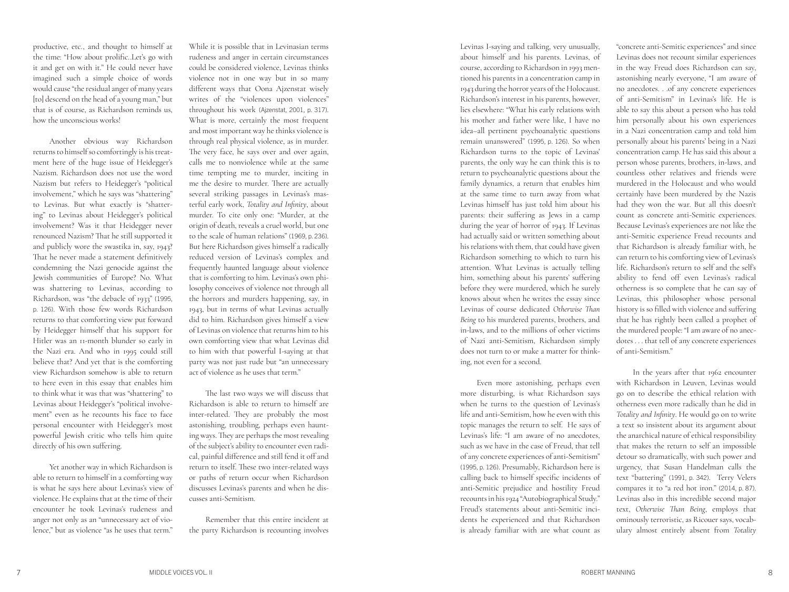productive, etc., and thought to himself at the time: "How about prolific..Let's go with it and get on with it." He could never have imagined such a simple choice of words would cause "the residual anger of many years [to] descend on the head of a young man," but that is of course, as Richardson reminds us, how the unconscious works!

Another obvious way Richardson returns to himself so comfortingly is his treat ment here of the huge issue of Heidegger's Nazism. Richardson does not use the word Nazism but refers to Heidegger's "political involvement," which he says was "shattering" to Levinas. But what exactly is "shatter ing" to Levinas about Heidegger's political involvement? Was it that Heidegger never renounced Nazism? That he still supported it and publicly wore the swastika in, say, 1943? That he never made a statement definitively condemning the Nazi genocide against the Jewish communities of Europe? No. What was shattering to Levinas, according to Richardson, was "the debacle of 1933" (1995, p. 126). With those few words Richardson returns to that comforting view put forward by Heidegger himself that his support for Hitler was an 11-month blunder so early in the Nazi era. And who in 1995 could still believe that? And yet that is the comforting view Richardson somehow is able to return to here even in this essay that enables him to think what it was that was "shattering" to Levinas about Heidegger's "political involve ment" even as he recounts his face to face personal encounter with Heidegger's most powerful Jewish critic who tells him quite directly of his own suffering.

Yet another way in which Richardson is able to return to himself in a comforting way is what he says here about Levinas's view of violence. He explains that at the time of their encounter he took Levinas's rudeness and anger not only as an "unnecessary act of vio lence," but as violence "as he uses that term."

While it is possible that in Levinasian terms rudeness and anger in certain circumstances could be considered violence, Levinas thinks violence not in one way but in so many different ways that Oona Ajzenstat wisely writes of the "violences upon violences" throughout his work (Ajzenstat, 2001, p. 317). What is more, certainly the most frequent and most important way he thinks violence is through real physical violence, as in murder. The very face, he says over and over again, calls me to nonviolence while at the same time tempting me to murder, inciting in me the desire to murder. There are actually several striking passages in Levinas's mas terful early work, *Totality and Infinity*, about murder. To cite only one: "Murder, at the origin of death, reveals a cruel world, but one to the scale of human relations" (1969, p. 236). But here Richardson gives himself a radically reduced version of Levinas's complex and frequently haunted language about violence that is comforting to him. Levinas's own phi losophy conceives of violence not through all the horrors and murders happening, say, in 1943, but in terms of what Levinas actually did to him. Richardson gives himself a view of Levinas on violence that returns him to his own comforting view that what Levinas did to him with that powerful I-saying at that party was not just rude but "an unnecessary act of violence as he uses that term."

The last two ways we will discuss that Richardson is able to return to himself are inter-related. They are probably the most astonishing, troubling, perhaps even haunt ing ways. They are perhaps the most revealing of the subject's ability to encounter even radi cal, painful difference and still fend it off and return to itself. These two inter-related ways or paths of return occur when Richardson discusses Levinas's parents and when he dis cusses anti-Semitism.

Remember that this entire incident at the party Richardson is recounting involves

Levinas I-saying and talking, very unusually, about himself and his parents. Levinas, of course, according to Richardson in 1993 men tioned his parents in a concentration camp in 1943 during the horror years of the Holocaust. Richardson's interest in his parents, however, lies elsewhere: "What his early relations with his mother and father were like, I have no idea–all pertinent psychoanalytic questions remain unanswered" (1995, p. 126). So when Richardson turns to the topic of Levinas' parents, the only way he can think this is to return to psychoanalytic questions about the family dynamics, a return that enables him at the same time to turn away from what Levinas himself has just told him about his parents: their suffering as Jews in a camp during the year of horror of 1943. If Levinas had actually said or written something about his relations with them, that could have given Richardson something to which to turn his attention. What Levinas is actually telling him, something about his parents' suffering before they were murdered, which he surely knows about when he writes the essay since Levinas of course dedicated *Otherwise Than Being* to his murdered parents, brothers, and in-laws, and to the millions of other victims of Nazi anti-Semitism, Richardson simply does not turn to or make a matter for thinking, not even for a second.

Even more astonishing, perhaps even more disturbing, is what Richardson says when he turns to the question of Levinas's life and anti-Semitism, how he even with this topic manages the return to self. He says of Levinas's life: "I am aware of no anecdotes, such as we have in the case of Freud, that tell of any concrete experiences of anti-Semitism" (1995, p. 126). Presumably, Richardson here is calling back to himself specific incidents of anti-Semitic prejudice and hostility Freud recounts in his 1924 "Autobiographical Study." Freud's statements about anti-Semitic inci dents he experienced and that Richardson is already familiar with are what count as

"concrete anti-Semitic experiences" and since Levinas does not recount similar experiences in the way Freud does Richardson can say, astonishing nearly everyone, "I am aware of no anecdotes. . .of any concrete experiences of anti-Semitism" in Levinas's life. He is able to say this about a person who has told him personally about his own experiences in a Nazi concentration camp and told him personally about his parents' being in a Nazi concentration camp. He has said this about a person whose parents, brothers, in-laws, and countless other relatives and friends were murdered in the Holocaust and who would certainly have been murdered by the Nazis had they won the war. But all this doesn't count as concrete anti-Semitic experiences. Because Levinas's experiences are not like the anti-Semitic experience Freud recounts and that Richardson is already familiar with, he can return to his comforting view of Levinas's life. Richardson's return to self and the self's ability to fend off even Levinas's radical otherness is so complete that he can say of Levinas, this philosopher whose personal history is so filled with violence and suffering that he has rightly been called a prophet of the murdered people: "I am aware of no anec dotes . . . that tell of any concrete experiences of anti-Semitism."

In the years after that 1962 encounter with Richardson in Leuven, Levinas would go on to describe the ethical relation with otherness even more radically than he did in *Totality and Infinity*. He would go on to write a text so insistent about its argument about the anarchical nature of ethical responsibility that makes the return to self an impossible detour so dramatically, with such power and urgency, that Susan Handelman calls the text "battering" (1991, p. 342). Terry Velers compares it to "a red hot iron." (2014, p. 87). Levinas also in this incredible second major text, *Otherwise Than Being*, employs that ominously terroristic, as Ricouer says, vocab ulary almost entirely absent from *Totality*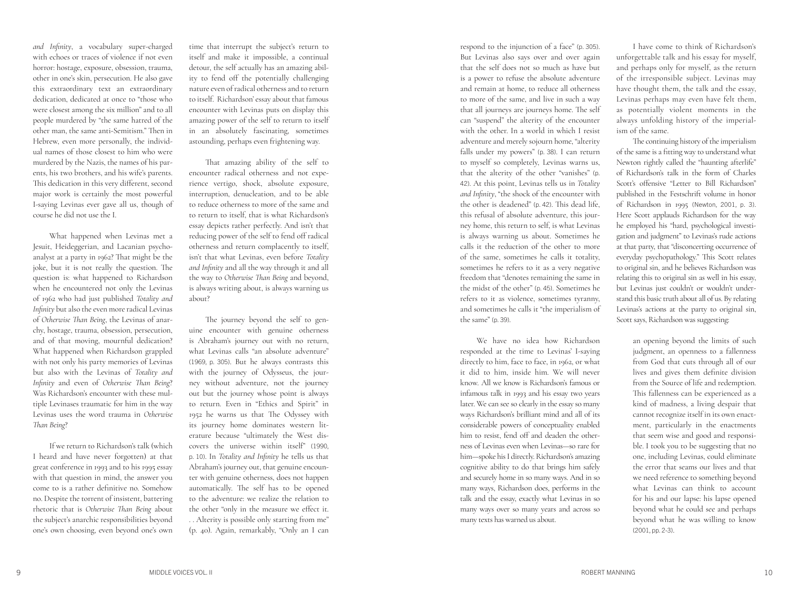*and Infinity*, a vocabulary super-charged with echoes or traces of violence if not even horror: hostage, exposure, obsession, trauma, other in one's skin, persecution. He also gave this extraordinary text an extraordinary dedication, dedicated at once to "those who were closest among the six million" and to all people murdered by "the same hatred of the other man, the same anti-Semitism." Then in Hebrew, even more personally, the individ ual names of those closest to him who were murdered by the Nazis, the names of his par ents, his two brothers, and his wife's parents. This dedication in this very different, second major work is certainly the most powerful I-saying Levinas ever gave all us, though of course he did not use the I.

What happened when Levinas met a Jesuit, Heideggerian, and Lacanian psycho analyst at a party in 1962? That might be the joke, but it is not really the question. The question is: what happened to Richardson when he encountered not only the Levinas of 1962 who had just published *Totality and Infinity* but also the even more radical Levinas of *Otherwise Than Being*, the Levinas of anar chy, hostage, trauma, obsession, persecution, and of that moving, mournful dedication? What happened when Richardson grappled with not only his party memories of Levinas but also with the Levinas of *Totality and Infinity* and even of *Otherwise Than Being*? Was Richardson's encounter with these mul tiple Levinases traumatic for him in the way Levinas uses the word trauma in *Otherwise Than Being* ?

If we return to Richardson's talk (which I heard and have never forgotten) at that great conference in 1993 and to his 1995 essay with that question in mind, the answer you come to is a rather definitive no. Somehow no. Despite the torrent of insistent, battering rhetoric that is *Otherwise Than Being* about the subject's anarchic responsibilities beyond one's own choosing, even beyond one's own

time that interrupt the subject's return to itself and make it impossible, a continual detour, the self actually has an amazing abil ity to fend off the potentially challenging nature even of radical otherness and to return to itself. Richardson' essay about that famous encounter with Levinas puts on display this amazing power of the self to return to itself in an absolutely fascinating, sometimes astounding, perhaps even frightening way.

That amazing ability of the self to encounter radical otherness and not expe rience vertigo, shock, absolute exposure, interruption, denucleation, and to be able to reduce otherness to more of the same and to return to itself, that is what Richardson's essay depicts rather perfectly. And isn't that reducing power of the self to fend off radical otherness and return complacently to itself, isn't that what Levinas, even before *Totality and Infinity* and all the way through it and all the way to *Otherwise Than Being* and beyond, is always writing about, is always warning us about?

The journey beyond the self to gen uine encounter with genuine otherness is Abraham's journey out with no return, what Levinas calls "an absolute adventure" (1969, p. 305). But he always contrasts this with the journey of Odysseus, the jour ney without adventure, not the journey out but the journey whose point is always to return. Even in "Ethics and Spirit" in 1952 he warns us that The Odyssey with its journey home dominates western lit erature because "ultimately the West dis covers the universe within itself" (1990, p. 10). In *Totality and Infinity* he tells us that Abraham's journey out, that genuine encoun ter with genuine otherness, does not happen automatically. The self has to be opened to the adventure: we realize the relation to the other "only in the measure we effect it. . . Alterity is possible only starting from me" (p. 40). Again, remarkably, "Only an I can

respond to the injunction of a face" (p. 305). But Levinas also says over and over again that the self does not so much as have but is a power to refuse the absolute adventure and remain at home, to reduce all otherness to more of the same, and live in such a way that all journeys are journeys home. The self can "suspend" the alterity of the encounter with the other. In a world in which I resist adventure and merely sojourn home, "alterity falls under my powers" (p. 38). I can return to myself so completely, Levinas warns us, that the alterity of the other "vanishes" (p. 42). At this point, Levinas tells us in *Totality and Infinity*, "the shock of the encounter with the other is deadened" (p. 42). This dead life, this refusal of absolute adventure, this jour ney home, this return to self, is what Levinas is always warning us about. Sometimes he calls it the reduction of the other to more of the same, sometimes he calls it totality, sometimes he refers to it as a very negative freedom that "denotes remaining the same in the midst of the other" (p. 45). Sometimes he refers to it as violence, sometimes tyranny, and sometimes he calls it "the imperialism of the same" (p. 39) .

We have no idea how Richardson responded at the time to Levinas' I-saying directly to him, face to face, in 1962, or what it did to him, inside him. We will never know. All we know is Richardson's famous or infamous talk in 1993 and his essay two years later. We can see so clearly in the essay so many ways Richardson's brilliant mind and all of its considerable powers of conceptuality enabled him to resist, fend off and deaden the other ness of Levinas even when Levinas—so rare for him—spoke his I directly. Richardson's amazing cognitive ability to do that brings him safely and securely home in so many ways. And in so many ways, Richardson does, performs in the talk and the essay, exactly what Levinas in so many ways over so many years and across so many texts has warned us about.

I have come to think of Richardson's unforgettable talk and his essay for myself, and perhaps only for myself, as the return of the irresponsible subject. Levinas may have thought them, the talk and the essay, Levinas perhaps may even have felt them, as potentially violent moments in the always unfolding history of the imperial ism of the same.

The continuing history of the imperialism of the same is a fitting way to understand what Newton rightly called the "haunting afterlife" of Richardson's talk in the form of Charles Scott's offensive "Letter to Bill Richardson" published in the Festschrift volume in honor of Richardson in 1995 (Newton, 2001, p. 3). Here Scott applauds Richardson for the way he employed his "hard, psychological investi gation and judgment" to Levinas's rude actions at that party, that "disconcerting occurrence of everyday psychopathology." This Scott relates to original sin, and he believes Richardson was relating this to original sin as well in his essay, but Levinas just couldn't or wouldn't under stand this basic truth about all of us. By relating Levinas's actions at the party to original sin, Scott says, Richardson was suggesting:

> an opening beyond the limits of such judgment, an openness to a fallenness from God that cuts through all of our lives and gives them definite division from the Source of life and redemption. This fallenness can be experienced as a kind of madness, a living despair that cannot recognize itself in its own enact ment, particularly in the enactments that seem wise and good and responsi ble. I took you to be suggesting that no one, including Levinas, could eliminate the error that seams our lives and that we need reference to something beyond what Levinas can think to account for his and our lapse: his lapse opened beyond what he could see and perhaps beyond what he was willing to know (2001, pp. 2-3).